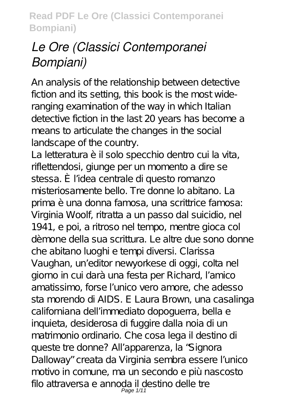# *Le Ore (Classici Contemporanei Bompiani)*

An analysis of the relationship between detective fiction and its setting, this book is the most wideranging examination of the way in which Italian detective fiction in the last 20 years has become a means to articulate the changes in the social landscape of the country.

La letteratura è il solo specchio dentro cui la vita, riflettendosi, giunge per un momento a dire se stessa. È l'idea centrale di questo romanzo misteriosamente bello. Tre donne lo abitano. La prima è una donna famosa, una scrittrice famosa: Virginia Woolf, ritratta a un passo dal suicidio, nel 1941, e poi, a ritroso nel tempo, mentre gioca col dèmone della sua scrittura. Le altre due sono donne che abitano luoghi e tempi diversi. Clarissa Vaughan, un'editor newyorkese di oggi, colta nel giorno in cui darà una festa per Richard, l'amico amatissimo, forse l'unico vero amore, che adesso sta morendo di AIDS. E Laura Brown, una casalinga californiana dell' immediato dopoguerra, bella e inquieta, desiderosa di fuggire dalla noia di un matrimonio ordinario. Che cosa lega il destino di queste tre donne? All'apparenza, la "Signora Dalloway" creata da Virginia sembra essere l'unico motivo in comune, ma un secondo e più nascosto filo attraversa e annoda il destino delle tre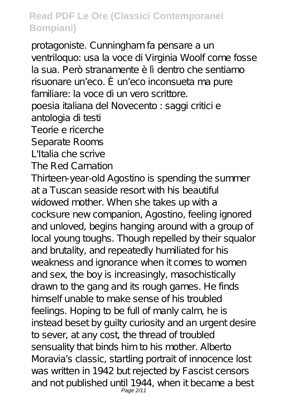protagoniste. Cunningham fa pensare a un ventriloquo: usa la voce di Virginia Woolf come fosse la sua. Però stranamente è lì dentro che sentiamo risuonare un'eco. È un'eco inconsueta ma pure familiare: la voce di un vero scrittore. poesia italiana del Novecento : saggi critici e antologia di testi Teorie e ricerche Separate Rooms L'Italia che scrive The Red Carnation Thirteen-year-old Agostino is spending the summer at a Tuscan seaside resort with his beautiful widowed mother. When she takes up with a cocksure new companion, Agostino, feeling ignored and unloved, begins hanging around with a group of local young toughs. Though repelled by their squalor and brutality, and repeatedly humiliated for his weakness and ignorance when it comes to women and sex, the boy is increasingly, masochistically drawn to the gang and its rough games. He finds himself unable to make sense of his troubled feelings. Hoping to be full of manly calm, he is instead beset by guilty curiosity and an urgent desire to sever, at any cost, the thread of troubled sensuality that binds him to his mother. Alberto Moravia's classic, startling portrait of innocence lost was written in 1942 but rejected by Fascist censors and not published until 1944, when it became a best Page 2/11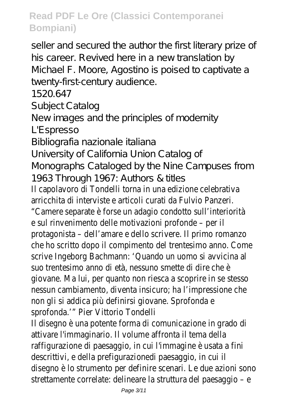seller and secured the author the first literary prize of his career. Revived here in a new translation by Michael F. Moore, Agostino is poised to captivate a twenty-first-century audience.

1520.647

Subject Catalog

New images and the principles of modernity

L'Espresso

Bibliografia nazionale italiana

University of California Union Catalog of Monographs Cataloged by the Nine Campuses from

1963 Through 1967: Authors & titles

Il capolavoro di Tondelli torna in una edizione celebrativa arricchita di interviste e articoli curati da Fulvio Panzeri. "Camere separate è forse un adagio condotto sull'interiorità e sul rinvenimento delle motivazioni profonde – per il protagonista – dell'amare e dello scrivere. Il primo romanzo che ho scritto dopo il compimento del trentesimo anno. Come scrive Ingeborg Bachmann: 'Quando un uomo si avvicina al suo trentesimo anno di età, nessuno smette di dire che è giovane. Ma lui, per quanto non riesca a scoprire in se stesso nessun cambiamento, diventa insicuro; ha l'impressione che non gli si addica più definirsi giovane. Sprofonda e sprofonda.'" Pier Vittorio Tondelli Il disegno è una potente forma di comunicazione in grado di

attivare l'immaginario. Il volume affronta il tema della raffigurazione di paesaggio, in cui l'immagine è usata a fini descrittivi, e della prefigurazionedi paesaggio, in cui il disegno è lo strumento per definire scenari. Le due azioni sono strettamente correlate: delineare la struttura del paesaggio – e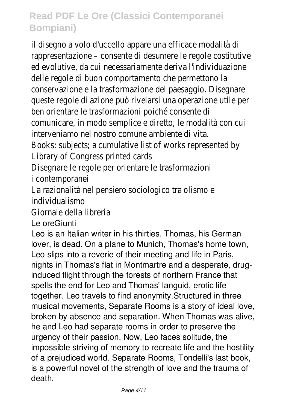il disegno a volo d'uccello appare una efficace modalità di rappresentazione – consente di desumere le regole costitutive ed evolutive, da cui necessariamente deriva l'individuazione delle regole di buon comportamento che permettono la conservazione e la trasformazione del paesaggio. Disegnare queste regole di azione può rivelarsi una operazione utile per ben orientare le trasformazioni poiché consente di comunicare, in modo semplice e diretto, le modalità con cui interveniamo nel nostro comune ambiente di vita.

Books: subjects; a cumulative list of works represented by Library of Congress printed cards

Disegnare le regole per orientare le trasformazioni i contemporanei

La razionalità nel pensiero sociologico tra olismo e individualismo

Giornale della libreria

Le oreGiunti

Leo is an Italian writer in his thirties. Thomas, his German lover, is dead. On a plane to Munich, Thomas's home town, Leo slips into a reverie of their meeting and life in Paris, nights in Thomas's flat in Montmartre and a desperate, druginduced flight through the forests of northern France that spells the end for Leo and Thomas' languid, erotic life together. Leo travels to find anonymity.Structured in three musical movements, Separate Rooms is a story of ideal love, broken by absence and separation. When Thomas was alive, he and Leo had separate rooms in order to preserve the urgency of their passion. Now, Leo faces solitude, the impossible striving of memory to recreate life and the hostility of a prejudiced world. Separate Rooms, Tondelli's last book, is a powerful novel of the strength of love and the trauma of death.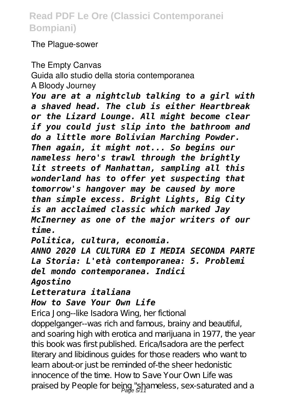The Plague-sower

The Empty Canvas

Guida allo studio della storia contemporanea

A Bloody Journey

*You are at a nightclub talking to a girl with a shaved head. The club is either Heartbreak or the Lizard Lounge. All might become clear if you could just slip into the bathroom and do a little more Bolivian Marching Powder. Then again, it might not... So begins our nameless hero's trawl through the brightly lit streets of Manhattan, sampling all this wonderland has to offer yet suspecting that tomorrow's hangover may be caused by more than simple excess. Bright Lights, Big City is an acclaimed classic which marked Jay McInerney as one of the major writers of our time.*

*Politica, cultura, economia.*

*ANNO 2020 LA CULTURA ED I MEDIA SECONDA PARTE La Storia: L'età contemporanea: 5. Problemi del mondo contemporanea. Indici Agostino*

*Letteratura italiana*

#### *How to Save Your Own Life*

Erica Jong--like Isadora Wing, her fictional doppelganger--was rich and famous, brainy and beautiful, and soaring high with erotica and marijuana in 1977, the year this book was first published. E rica/Isadora are the perfect literary and libidinous guides for those readers who want to learn about-or just be reminded of-the sheer hedonistic innocence of the time. How to Save Your Own Life was praised by People for being "shameless, sex-saturated and a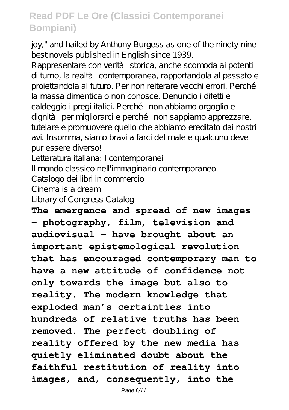joy," and hailed by Anthony Burgess as one of the ninety-nine best novels published in English since 1939.

Rappresentare con verità storica, anche scomoda ai potenti di turno, la realtà contemporanea, rapportandola al passato e proiettandola al futuro. Per non reiterare vecchi errori. Perché la massa dimentica o non conosce. Denuncio i difetti e caldeggio i pregi italici. Perché non abbiamo orgoglio e dignità per migliorarci e perché non sappiamo apprezzare, tutelare e promuovere quello che abbiamo ereditato dai nostri avi. Insomma, siamo bravi a farci del male e qualcuno deve pur essere diverso!

Letteratura italiana: I contemporanei

Il mondo classico nell'immaginario contemporaneo

Catalogo dei libri in commercio

Cinema is a dream

Library of Congress Catalog

**The emergence and spread of new images – photography, film, television and audiovisual – have brought about an important epistemological revolution that has encouraged contemporary man to have a new attitude of confidence not only towards the image but also to reality. The modern knowledge that exploded man's certainties into hundreds of relative truths has been removed. The perfect doubling of reality offered by the new media has quietly eliminated doubt about the faithful restitution of reality into images, and, consequently, into the**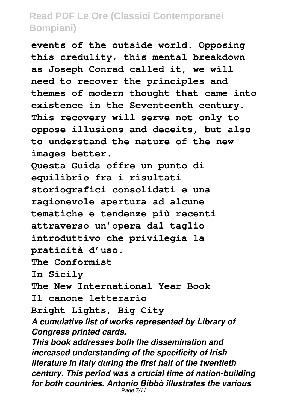**events of the outside world. Opposing this credulity, this mental breakdown as Joseph Conrad called it, we will need to recover the principles and themes of modern thought that came into existence in the Seventeenth century. This recovery will serve not only to oppose illusions and deceits, but also to understand the nature of the new images better. Questa Guida offre un punto di equilibrio fra i risultati storiografici consolidati e una ragionevole apertura ad alcune tematiche e tendenze più recenti attraverso un'opera dal taglio introduttivo che privilegia la praticità d'uso. The Conformist In Sicily The New International Year Book Il canone letterario Bright Lights, Big City** *A cumulative list of works represented by Library of Congress printed cards. This book addresses both the dissemination and increased understanding of the specificity of Irish literature in Italy during the first half of the twentieth century. This period was a crucial time of nation-building for both countries. Antonio Bibbò illustrates the various*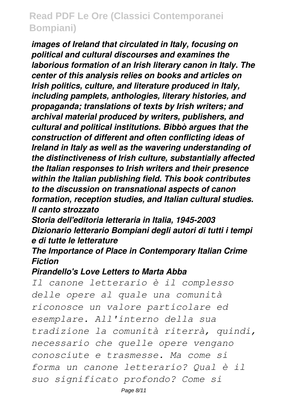*images of Ireland that circulated in Italy, focusing on political and cultural discourses and examines the laborious formation of an Irish literary canon in Italy. The center of this analysis relies on books and articles on Irish politics, culture, and literature produced in Italy, including pamplets, anthologies, literary histories, and propaganda; translations of texts by Irish writers; and archival material produced by writers, publishers, and cultural and political institutions. Bibbò argues that the construction of different and often conflicting ideas of Ireland in Italy as well as the wavering understanding of the distinctiveness of Irish culture, substantially affected the Italian responses to Irish writers and their presence within the Italian publishing field. This book contributes to the discussion on transnational aspects of canon formation, reception studies, and Italian cultural studies. Il canto strozzato*

*Storia dell'editoria letteraria in Italia, 1945-2003 Dizionario letterario Bompiani degli autori di tutti i tempi e di tutte le letterature*

#### *The Importance of Place in Contemporary Italian Crime Fiction*

#### *Pirandello's Love Letters to Marta Abba*

*Il canone letterario è il complesso delle opere al quale una comunità riconosce un valore particolare ed esemplare. All'interno della sua tradizione la comunità riterrà, quindi, necessario che quelle opere vengano conosciute e trasmesse. Ma come si forma un canone letterario? Qual è il suo significato profondo? Come si*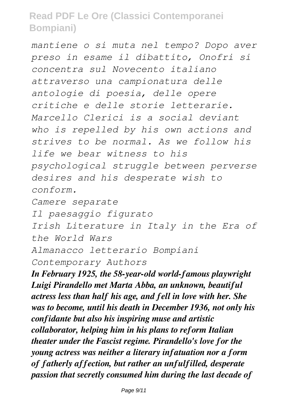*mantiene o si muta nel tempo? Dopo aver preso in esame il dibattito, Onofri si concentra sul Novecento italiano attraverso una campionatura delle antologie di poesia, delle opere critiche e delle storie letterarie. Marcello Clerici is a social deviant who is repelled by his own actions and strives to be normal. As we follow his life we bear witness to his psychological struggle between perverse desires and his desperate wish to conform.*

*Camere separate*

*Il paesaggio figurato*

*Irish Literature in Italy in the Era of the World Wars*

*Almanacco letterario Bompiani*

*Contemporary Authors*

*In February 1925, the 58-year-old world-famous playwright Luigi Pirandello met Marta Abba, an unknown, beautiful actress less than half his age, and fell in love with her. She was to become, until his death in December 1936, not only his confidante but also his inspiring muse and artistic collaborator, helping him in his plans to reform Italian theater under the Fascist regime. Pirandello's love for the young actress was neither a literary infatuation nor a form of fatherly affection, but rather an unfulfilled, desperate passion that secretly consumed him during the last decade of*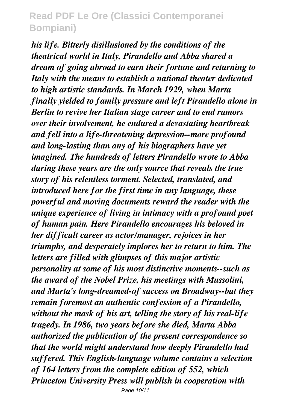*his life. Bitterly disillusioned by the conditions of the theatrical world in Italy, Pirandello and Abba shared a dream of going abroad to earn their fortune and returning to Italy with the means to establish a national theater dedicated to high artistic standards. In March 1929, when Marta finally yielded to family pressure and left Pirandello alone in Berlin to revive her Italian stage career and to end rumors over their involvement, he endured a devastating heartbreak and fell into a life-threatening depression--more profound and long-lasting than any of his biographers have yet imagined. The hundreds of letters Pirandello wrote to Abba during these years are the only source that reveals the true story of his relentless torment. Selected, translated, and introduced here for the first time in any language, these powerful and moving documents reward the reader with the unique experience of living in intimacy with a profound poet of human pain. Here Pirandello encourages his beloved in her difficult career as actor/manager, rejoices in her triumphs, and desperately implores her to return to him. The letters are filled with glimpses of this major artistic personality at some of his most distinctive moments--such as the award of the Nobel Prize, his meetings with Mussolini, and Marta's long-dreamed-of success on Broadway--but they remain foremost an authentic confession of a Pirandello, without the mask of his art, telling the story of his real-life tragedy. In 1986, two years before she died, Marta Abba authorized the publication of the present correspondence so that the world might understand how deeply Pirandello had suffered. This English-language volume contains a selection of 164 letters from the complete edition of 552, which Princeton University Press will publish in cooperation with*